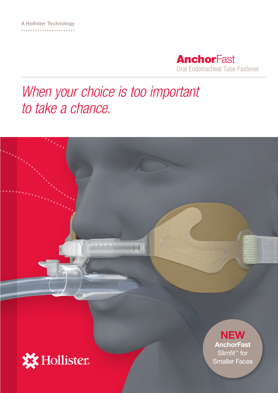

## *When your choice is too important to take a chance.*

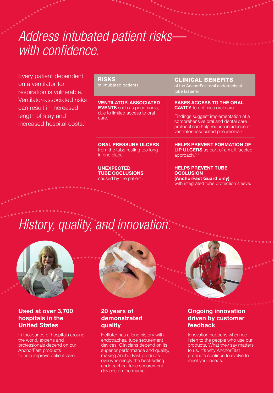### *Address intubated patient risks with confidence.*

Every patient dependent on a ventilator for respiration is vulnerable. Ventilator-associated risks can result in increased length of stay and increased hospital costs.1

RISKS of intubated patients

VENTILATOR-ASSOCIATED EVENTS such as pneumonia, due to limited access to oral care.

ORAL PRESSURE ULCERS from the tube resting too long in one place.

UNEXPECTED TUBE OCCLUSIONS caused by the patient.

CLINICAL BENEFITS

of the AnchorFast oral endotracheal tube fastener

EASES ACCESS TO THE ORAL **CAVITY** to optimise oral care.

Findings suggest implementation of a comprehensive oral and dental care protocol can help reduce incidence of ventilator-associated pneumonia.<sup>2</sup>

HELPS PREVENT FORMATION OF **LIP ULCERS** as part of a multifaceted approach.<sup>3, 4</sup>

HELPS PREVENT TUBE **OCCLUSION** (AnchorFast Guard only) with integrated tube protection sleeve.

## *History, quality, and innovation.*



#### Used at over 3,700 hospitals in the United States

In thousands of hospitals around the world, experts and professionals depend on our AnchorFast products to help improve patient care.



#### 20 years of demonstrated quality

Hollister has a long history with endotracheal tube securement devices. Clinicians depend on its superior performance and quality, making AnchorFast products overwhelmingly the best-selling endotracheal tube securement devices on the market.

#### **Ongoing innovation** driven by customer feedback

Innovation happens when we listen to the people who use our products. What they say matters to us. It's why AnchorFast products continue to evolve to meet your needs.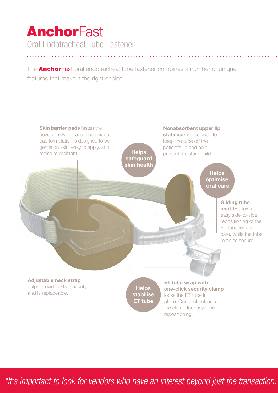### **AnchorFast** Oral Endotracheal Tube Fastener

The **AnchorFast** oral endotracheal tube fastener combines a number of unique features that make it the right choice.



"It's important to look for vendors who have an interest beyond just the transaction.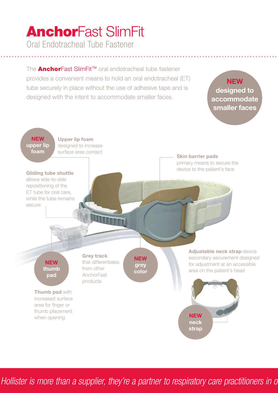# AnchorFast SlimFit

Oral Endotracheal Tube Fastener

The **AnchorFast SlimFit™** oral endotracheal tube fastener provides a convenient means to hold an oral endotracheal (ET) tube securely in place without the use of adhesive tape and is designed with the intent to accommodate smaller faces.

#### **NEW** designed to accommodate smaller faces



Hollister is more than a supplier, they're a partner to respiratory care practitioners in o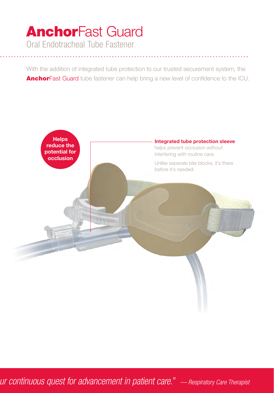## **AnchorFast Guard**

Oral Endotracheal Tube Fastener

With the addition of integrated tube protection to our trusted securement system, the AnchorFast Guard tube fastener can help bring a new level of confidence to the ICU.



Ur continuous quest for advancement in patient care." – Respiratory Care Therapist